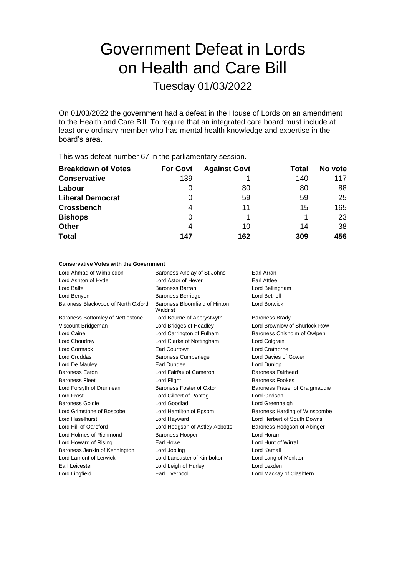# Government Defeat in Lords on Health and Care Bill

Tuesday 01/03/2022

On 01/03/2022 the government had a defeat in the House of Lords on an amendment to the Health and Care Bill: To require that an integrated care board must include at least one ordinary member who has mental health knowledge and expertise in the board's area.

| <b>Breakdown of Votes</b> | <b>For Govt</b> | <b>Against Govt</b> | Total | No vote |
|---------------------------|-----------------|---------------------|-------|---------|
| <b>Conservative</b>       | 139             |                     | 140   | 117     |
| Labour                    | $\Omega$        | 80                  | 80    | 88      |
| <b>Liberal Democrat</b>   | 0               | 59                  | 59    | 25      |
| <b>Crossbench</b>         | 4               | 11                  | 15    | 165     |
| <b>Bishops</b>            | O               |                     |       | 23      |
| <b>Other</b>              | 4               | 10                  | 14    | 38      |
| <b>Total</b>              | 147             | 162                 | 309   | 456     |
|                           |                 |                     |       |         |

This was defeat number 67 in the parliamentary session.

### **Conservative Votes with the Government**

| Lord Ahmad of Wimbledon            | Baroness Anelay of St Johns<br>Earl Arran |                                |
|------------------------------------|-------------------------------------------|--------------------------------|
| Lord Ashton of Hyde                | <b>Lord Astor of Hever</b>                | <b>Earl Attlee</b>             |
| Lord Balfe                         | Baroness Barran                           | Lord Bellingham                |
| Lord Benyon                        | <b>Baroness Berridge</b>                  | Lord Bethell                   |
| Baroness Blackwood of North Oxford | Baroness Bloomfield of Hinton<br>Waldrist | Lord Borwick                   |
| Baroness Bottomley of Nettlestone  | Lord Bourne of Aberystwyth                | <b>Baroness Brady</b>          |
| Viscount Bridgeman                 | Lord Bridges of Headley                   | Lord Brownlow of Shurlock Row  |
| Lord Caine                         | Lord Carrington of Fulham                 | Baroness Chisholm of Owlpen    |
| Lord Choudrey                      | Lord Clarke of Nottingham                 | Lord Colgrain                  |
| <b>Lord Cormack</b>                | <b>Farl Courtown</b>                      | Lord Crathorne                 |
| Lord Cruddas                       | <b>Baroness Cumberlege</b>                | Lord Davies of Gower           |
| Lord De Mauley                     | <b>Farl Dundee</b>                        | Lord Dunlop                    |
| <b>Baroness Eaton</b>              | Lord Fairfax of Cameron                   | <b>Baroness Fairhead</b>       |
| <b>Baroness Fleet</b>              | Lord Flight                               | <b>Baroness Fookes</b>         |
| Lord Forsyth of Drumlean           | Baroness Foster of Oxton                  | Baroness Fraser of Craigmaddie |
| Lord Frost                         | Lord Gilbert of Panteg                    | Lord Godson                    |
| Baroness Goldie                    | Lord Goodlad                              | Lord Greenhalgh                |
| Lord Grimstone of Boscobel         | Lord Hamilton of Epsom                    | Baroness Harding of Winscombe  |
| Lord Haselhurst                    | Lord Hayward                              | Lord Herbert of South Downs    |
| Lord Hill of Oareford              | Lord Hodgson of Astley Abbotts            | Baroness Hodgson of Abinger    |
| Lord Holmes of Richmond            | <b>Baroness Hooper</b>                    | Lord Horam                     |
| Lord Howard of Rising              | Earl Howe                                 | Lord Hunt of Wirral            |
| Baroness Jenkin of Kennington      | Lord Jopling                              | Lord Kamall                    |
| Lord Lamont of Lerwick             | Lord Lancaster of Kimbolton               | Lord Lang of Monkton           |
| Earl Leicester                     | Lord Leigh of Hurley                      | Lord Lexden                    |
| Lord Lingfield                     | Earl Liverpool                            | Lord Mackay of Clashfern       |
|                                    |                                           |                                |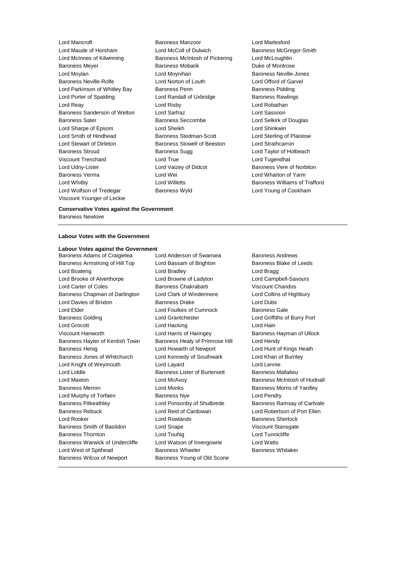Lord Maude of Horsham Lord McColl of Dulwich Baroness McGregor-Smith Lord McInnes of Kilwinning Baroness McIntosh of Pickering Lord McLoughlin Baroness Meyer **Baroness Mobarik** Baroness Mobarik **Duke of Montrose** Lord Moylan **Lord Moynihan** Lord Moynihan **Baroness Neville-Jones** Baroness Neville-Rolfe Lord Norton of Louth Lord Offord of Garvel Lord Parkinson of Whitley Bay Baroness Penn Baroness Paroness Pidding Lord Porter of Spalding **Lord Randall of Uxbridge Baroness Rawlings** Lord Reay Lord Risby Lord Robathan Baroness Sanderson of Welton Lord Sarfraz Lord Sassoon Baroness Sater **Baroness Seccombe** Lord Selkirk of Douglas Lord Sharpe of Epsom Lord Sheikh Lord Shinkwin Lord Smith of Hindhead **Baroness Stedman-Scott** Lord Sterling of Plaistow Lord Stewart of Dirleton Baroness Stowell of Beeston Lord Strathcarron Baroness Stroud **Baroness Sugg Communist Communist Stroud** Baroness Sugg **Lord Taylor of Holbeach** Viscount Trenchard Lord True Lord Tugendhat Lord Udny-Lister **Lord Vaizey of Didcot** Baroness Vere of Norbiton Baroness Verma Lord Wei Lord Wharton of Yarm Lord Whitby **Lord Willetts Baroness Williams of Trafford Lord Willetts Baroness Williams of Trafford** Lord Wolfson of Tredegar **Baroness Wyld** Lord Young of Cookham Viscount Younger of Leckie

Lord Mancroft Baroness Manzoor Lord Marlesford

### **Conservative Votes against the Government** Baroness Newlove

### **Labour Votes with the Government**

### **Labour Votes against the Government**

Baroness Armstrong of Hill Top Lord Bassam of Brighton Baroness Blake of Leeds Lord Boateng Lord Bradley Lord Bragg Lord Brooke of Alverthorpe Lord Browne of Ladyton Lord Campbell-Savours Lord Carter of Coles Baroness Chakrabarti Viscount Chandos Baroness Chapman of Darlington Lord Clark of Windermere Lord Collins of Highbury Lord Davies of Brixton **Baroness Drake** Lord Dubs Lord Elder Lord Foulkes of Cumnock Baroness Gale Baroness Golding **Lord Grantchester Lord Grantchester** Lord Griffiths of Burry Port Lord Grocott **Lord Hacking** Lord Hacking Lord Hain Viscount Hanworth **Lord Harris of Haringey** Baroness Hayman of Ullock Baroness Hayter of Kentish Town Baroness Healy of Primrose Hill Lord Hendy Baroness Henig **Lord Howarth of Newport** Lord Hunt of Kings Heath Baroness Jones of Whitchurch Lord Kennedy of Southwark Lord Khan of Burnley Lord Knight of Weymouth Lord Layard Lord Lennie Lord Liddle Baroness Lister of Burtersett Baroness Mallalieu Lord Maxton Lord McAvoy Baroness McIntosh of Hudnall Baroness Merron **Baroness Morris Concept Accord Monks** Baroness Morris of Yardley Lord Murphy of Torfaen Baroness Nye Lord Pendry Baroness Pitkeathley **Lord Ponsonby of Shulbrede** Baroness Ramsay of Cartvale Baroness Rebuck Lord Reid of Cardowan Lord Robertson of Port Ellen Lord Rooker Lord Rowlands Baroness Sherlock Baroness Smith of Basildon **Lord Snape Lord Snape** Viscount Stansgate Baroness Thornton **Lord Touhig** Lord Tunnicliffe Baroness Warwick of Undercliffe Lord Watson of Invergowrie Lord Watts Lord West of Spithead **Baroness Wheeler** Baroness Wheeler Baroness Whitaker Baroness Wilcox of Newport Baroness Young of Old Scone

Baroness Adams of Craigielea Lord Anderson of Swansea Baroness Andrews